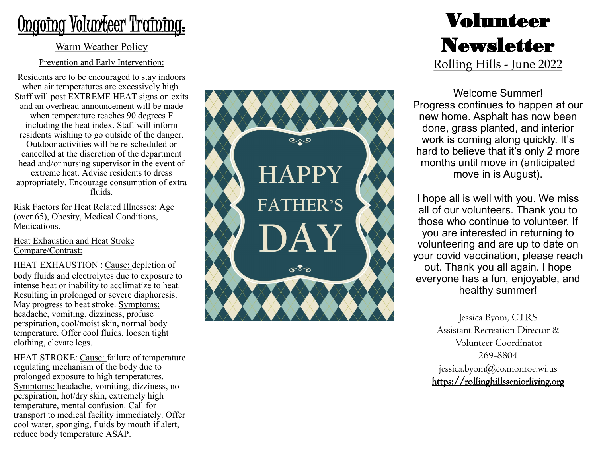# Ongoing Volunteer Training:

#### Warm Weather Policy

#### Prevention and Early Intervention:

Residents are to be encouraged to stay indoors when air temperatures are excessively high. Staff will post EXTREME HEAT signs on exits and an overhead announcement will be made when temperature reaches 90 degrees F including the heat index. Staff will inform residents wishing to go outside of the danger. Outdoor activities will be re -scheduled or cancelled at the discretion of the department head and/or nursing supervisor in the event of extreme heat. Advise residents to dress appropriately. Encourage consumption of extra fluids.

Risk Factors for Heat Related Illnesses: Age (over 65), Obesity, Medical Conditions, Medications.

Heat Exhaustion and Heat Stroke Compare/Contrast:

HEAT EXHAUSTION : Cause: depletion of body fluids and electrolytes due to exposure to intense heat or inability to acclimatize to heat. Resulting in prolonged or severe diaphoresis. May progress to heat stroke. Symptoms: headache, vomiting, dizziness, profuse perspiration, cool/moist skin, normal body temperature. Offer cool fluids, loosen tight clothing, elevate legs.

HEAT STROKE: Cause: failure of temperature regulating mechanism of the body due to prolonged exposure to high temperatures. Symptoms: headache, vomiting, dizziness, no perspiration, hot/dry skin, extremely high temperature, mental confusion. Call for transport to medical facility immediately. Offer cool water, sponging, fluids by mouth if alert, reduce body temperature ASAP.



## Volunteer Newsletter Rolling Hills - June 2022

Welcome Summer! Progress continues to happen at our new home. Asphalt has now been done, grass planted, and interior work is coming along quickly. It 's hard to believe that it 's only 2 more months until move in (anticipated move in is August).

I hope all is well with you. We miss all of our volunteers. Thank you to those who continue to volunteer. If you are interested in returning to volunteering and are up to date on your covid vaccination, please reach out. Thank you all again. I hope everyone has a fun, enjoyable, and healthy summer!

> Jessica Byom, CTRS Assistant Recreation Director & Volunteer Coordinator 269 -8804 jessica.byom $\omega$ co.monroe.wi.us https://rollinghillsseniorliving.org